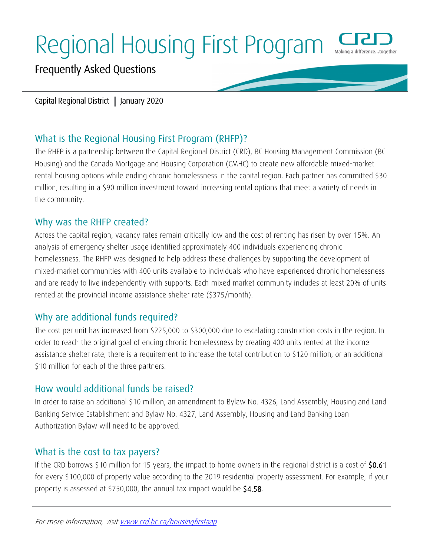# Regional Housing First Program



# Frequently Asked Questions

#### Capital Regional District **|** January 2020

# What is the Regional Housing First Program (RHFP)?

The RHFP is a partnership between the Capital Regional District (CRD), BC Housing Management Commission (BC Housing) and the Canada Mortgage and Housing Corporation (CMHC) to create new affordable mixed-market rental housing options while ending chronic homelessness in the capital region. Each partner has committed \$30 million, resulting in a \$90 million investment toward increasing rental options that meet a variety of needs in the community.

## Why was the RHFP created?

Across the capital region, vacancy rates remain critically low and the cost of renting has risen by over 15%. An analysis of emergency shelter usage identified approximately 400 individuals experiencing chronic homelessness. The RHFP was designed to help address these challenges by supporting the development of mixed-market communities with 400 units available to individuals who have experienced chronic homelessness and are ready to live independently with supports. Each mixed market community includes at least 20% of units rented at the provincial income assistance shelter rate (\$375/month).

# Why are additional funds required?

The cost per unit has increased from \$225,000 to \$300,000 due to escalating construction costs in the region. In order to reach the original goal of ending chronic homelessness by creating 400 units rented at the income assistance shelter rate, there is a requirement to increase the total contribution to \$120 million, or an additional \$10 million for each of the three partners.

# How would additional funds be raised?

In order to raise an additional \$10 million, an amendment to Bylaw No. 4326, Land Assembly, Housing and Land Banking Service Establishment and Bylaw No. 4327, Land Assembly, Housing and Land Banking Loan Authorization Bylaw will need to be approved.

## What is the cost to tax payers?

If the CRD borrows \$10 million for 15 years, the impact to home owners in the regional district is a cost of \$0.61 for every \$100,000 of property value according to the 2019 residential property assessment. For example, if your property is assessed at \$750,000, the annual tax impact would be \$4.58.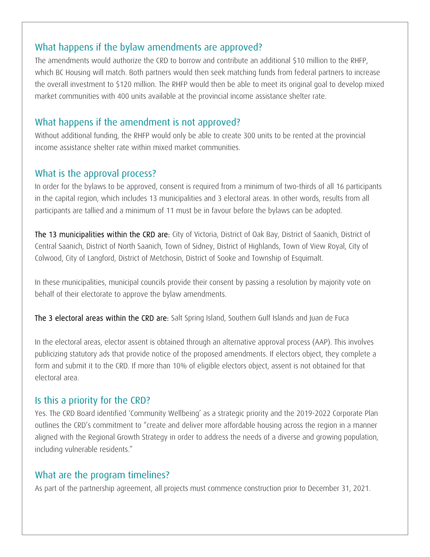# What happens if the bylaw amendments are approved?

The amendments would authorize the CRD to borrow and contribute an additional \$10 million to the RHFP, which BC Housing will match. Both partners would then seek matching funds from federal partners to increase the overall investment to \$120 million. The RHFP would then be able to meet its original goal to develop mixed market communities with 400 units available at the provincial income assistance shelter rate.

## What happens if the amendment is not approved?

Without additional funding, the RHFP would only be able to create 300 units to be rented at the provincial income assistance shelter rate within mixed market communities.

## What is the approval process?

In order for the bylaws to be approved, consent is required from a minimum of two-thirds of all 16 participants in the capital region, which includes 13 municipalities and 3 electoral areas. In other words, results from all participants are tallied and a minimum of 11 must be in favour before the bylaws can be adopted.

The 13 municipalities within the CRD are: City of Victoria, District of Oak Bay, District of Saanich, District of Central Saanich, District of North Saanich, Town of Sidney, District of Highlands, Town of View Royal, City of Colwood, City of Langford, District of Metchosin, District of Sooke and Township of Esquimalt.

In these municipalities, municipal councils provide their consent by passing a resolution by majority vote on behalf of their electorate to approve the bylaw amendments.

The 3 electoral areas within the CRD are: Salt Spring Island, Southern Gulf Islands and Juan de Fuca

In the electoral areas, elector assent is obtained through an alternative approval process (AAP). This involves publicizing statutory ads that provide notice of the proposed amendments. If electors object, they complete a form and submit it to the CRD. If more than 10% of eligible electors object, assent is not obtained for that electoral area.

#### Is this a priority for the CRD?

Yes. The CRD Board identified 'Community Wellbeing' as a strategic priority and the 2019-2022 Corporate Plan outlines the CRD's commitment to "create and deliver more affordable housing across the region in a manner aligned with the Regional Growth Strategy in order to address the needs of a diverse and growing population, including vulnerable residents."

## What are the program timelines?

As part of the partnership agreement, all projects must commence construction prior to December 31, 2021.